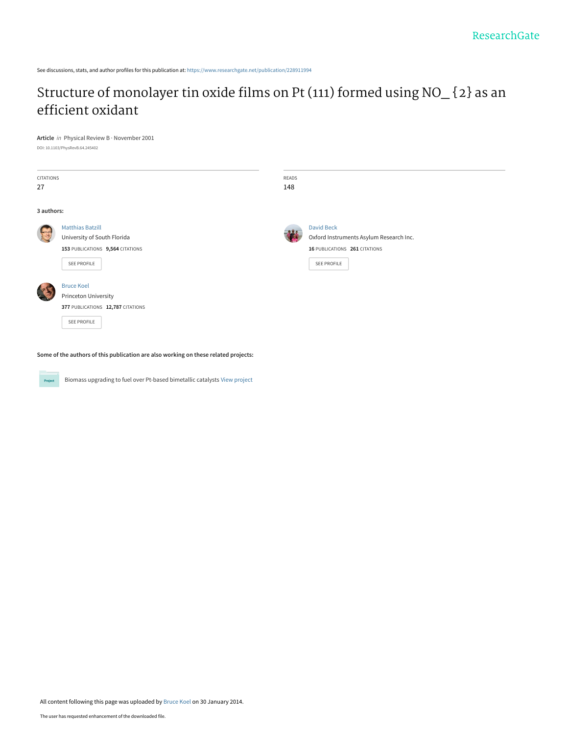See discussions, stats, and author profiles for this publication at: [https://www.researchgate.net/publication/228911994](https://www.researchgate.net/publication/228911994_Structure_of_monolayer_tin_oxide_films_on_Pt_111_formed_using_NO_2_as_an_efficient_oxidant?enrichId=rgreq-5f177dd84d8c2ee11d688948cd8a3166-XXX&enrichSource=Y292ZXJQYWdlOzIyODkxMTk5NDtBUzoxMDI5MzYxMzQ4MTU3NDhAMTQwMTU1MzI5NTI0MQ%3D%3D&el=1_x_2&_esc=publicationCoverPdf)

# [Structure of monolayer tin oxide films on Pt \(111\) formed using NO\\_ {2} as an](https://www.researchgate.net/publication/228911994_Structure_of_monolayer_tin_oxide_films_on_Pt_111_formed_using_NO_2_as_an_efficient_oxidant?enrichId=rgreq-5f177dd84d8c2ee11d688948cd8a3166-XXX&enrichSource=Y292ZXJQYWdlOzIyODkxMTk5NDtBUzoxMDI5MzYxMzQ4MTU3NDhAMTQwMTU1MzI5NTI0MQ%3D%3D&el=1_x_3&_esc=publicationCoverPdf) efficient oxidant

# **Article** in Physical Review B · November 2001

DOI: 10.1103/PhysRevB.64.245402

| CITATIONS<br>27 |                                                                                                           | READS<br>148 |                                                                                                              |
|-----------------|-----------------------------------------------------------------------------------------------------------|--------------|--------------------------------------------------------------------------------------------------------------|
| 3 authors:      |                                                                                                           |              |                                                                                                              |
|                 | <b>Matthias Batzill</b><br>University of South Florida<br>153 PUBLICATIONS 9,564 CITATIONS<br>SEE PROFILE |              | <b>David Beck</b><br>Oxford Instruments Asylum Research Inc.<br>16 PUBLICATIONS 261 CITATIONS<br>SEE PROFILE |
|                 | <b>Bruce Koel</b><br>Princeton University<br>377 PUBLICATIONS 12,787 CITATIONS<br>SEE PROFILE             |              |                                                                                                              |

**Some of the authors of this publication are also working on these related projects:**

**Project** 

Biomass upgrading to fuel over Pt-based bimetallic catalysts [View project](https://www.researchgate.net/project/Biomass-upgrading-to-fuel-over-Pt-based-bimetallic-catalysts?enrichId=rgreq-5f177dd84d8c2ee11d688948cd8a3166-XXX&enrichSource=Y292ZXJQYWdlOzIyODkxMTk5NDtBUzoxMDI5MzYxMzQ4MTU3NDhAMTQwMTU1MzI5NTI0MQ%3D%3D&el=1_x_9&_esc=publicationCoverPdf)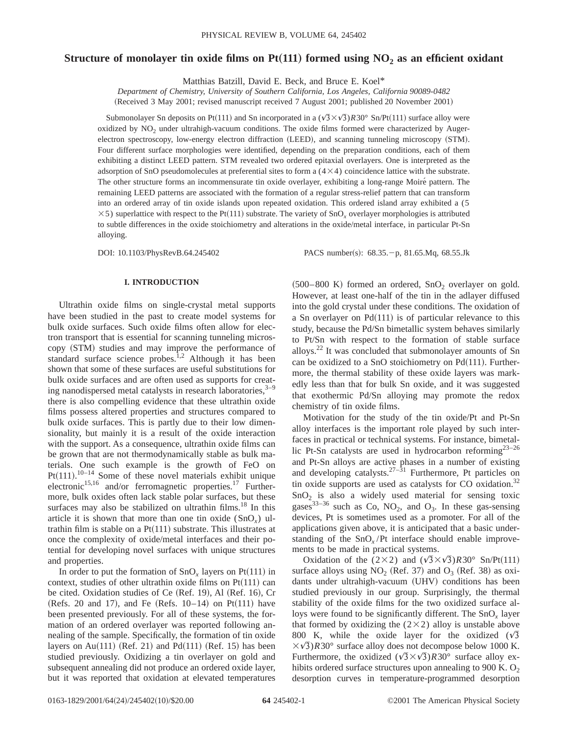# **Structure of monolayer tin oxide films on Pt(111) formed using**  $NO<sub>2</sub>$  **as an efficient oxidant**

Matthias Batzill, David E. Beck, and Bruce E. Koel\*

*Department of Chemistry, University of Southern California, Los Angeles, California 90089-0482* (Received 3 May 2001; revised manuscript received 7 August 2001; published 20 November 2001)

Submonolayer Sn deposits on Pt(111) and Sn incorporated in a  $(\sqrt{3}\times\sqrt{3})R30^\circ$  Sn/Pt(111) surface alloy were oxidized by  $NO<sub>2</sub>$  under ultrahigh-vacuum conditions. The oxide films formed were characterized by Augerelectron spectroscopy, low-energy electron diffraction (LEED), and scanning tunneling microscopy (STM). Four different surface morphologies were identified, depending on the preparation conditions, each of them exhibiting a distinct LEED pattern. STM revealed two ordered epitaxial overlayers. One is interpreted as the adsorption of SnO pseudomolecules at preferential sites to form a  $(4\times4)$  coincidence lattice with the substrate. The other structure forms an incommensurate tin oxide overlayer, exhibiting a long-range Moiré pattern. The remaining LEED patterns are associated with the formation of a regular stress-relief pattern that can transform into an ordered array of tin oxide islands upon repeated oxidation. This ordered island array exhibited a (5  $\times$  5) superlattice with respect to the Pt(111) substrate. The variety of SnO<sub>x</sub> overlayer morphologies is attributed to subtle differences in the oxide stoichiometry and alterations in the oxide/metal interface, in particular Pt-Sn alloying.

DOI: 10.1103/PhysRevB.64.245402 PACS number(s): 68.35. - p, 81.65.Mq, 68.55.Jk

# **I. INTRODUCTION**

Ultrathin oxide films on single-crystal metal supports have been studied in the past to create model systems for bulk oxide surfaces. Such oxide films often allow for electron transport that is essential for scanning tunneling microscopy (STM) studies and may improve the performance of standard surface science probes.<sup>1,2</sup> Although it has been shown that some of these surfaces are useful substitutions for bulk oxide surfaces and are often used as supports for creating nanodispersed metal catalysts in research laboratories, $3-9$ there is also compelling evidence that these ultrathin oxide films possess altered properties and structures compared to bulk oxide surfaces. This is partly due to their low dimensionality, but mainly it is a result of the oxide interaction with the support. As a consequence, ultrathin oxide films can be grown that are not thermodynamically stable as bulk materials. One such example is the growth of FeO on Pt $(111).$ <sup>10-14</sup> Some of these novel materials exhibit unique electronic<sup>15,16</sup> and/or ferromagnetic properties.<sup>17</sup> Furthermore, bulk oxides often lack stable polar surfaces, but these surfaces may also be stabilized on ultrathin films.<sup>18</sup> In this article it is shown that more than one tin oxide (SnO*x*) ultrathin film is stable on a  $Pt(111)$  substrate. This illustrates at once the complexity of oxide/metal interfaces and their potential for developing novel surfaces with unique structures and properties.

In order to put the formation of  $SnO<sub>r</sub>$  layers on  $Pt(111)$  in context, studies of other ultrathin oxide films on  $Pt(111)$  can be cited. Oxidation studies of Ce  $(Ref. 19)$ , Al  $(Ref. 16)$ , Cr  $(Refs. 20 and 17)$ , and Fe  $(Refs. 10–14)$  on Pt $(111)$  have been presented previously. For all of these systems, the formation of an ordered overlayer was reported following annealing of the sample. Specifically, the formation of tin oxide layers on Au $(111)$  (Ref. 21) and Pd $(111)$  (Ref. 15) has been studied previously. Oxidizing a tin overlayer on gold and subsequent annealing did not produce an ordered oxide layer, but it was reported that oxidation at elevated temperatures

 $(500-800 \text{ K})$  formed an ordered,  $SnO<sub>2</sub>$  overlayer on gold. However, at least one-half of the tin in the adlayer diffused into the gold crystal under these conditions. The oxidation of a Sn overlayer on  $Pd(111)$  is of particular relevance to this study, because the Pd/Sn bimetallic system behaves similarly to Pt/Sn with respect to the formation of stable surface alloys.22 It was concluded that submonolayer amounts of Sn can be oxidized to a SnO stoichiometry on  $Pd(111)$ . Furthermore, the thermal stability of these oxide layers was markedly less than that for bulk Sn oxide, and it was suggested that exothermic Pd/Sn alloying may promote the redox chemistry of tin oxide films.

Motivation for the study of the tin oxide/Pt and Pt-Sn alloy interfaces is the important role played by such interfaces in practical or technical systems. For instance, bimetallic Pt-Sn catalysts are used in hydrocarbon reforming<sup>23-26</sup> and Pt-Sn alloys are active phases in a number of existing and developing catalysts. $27-31$  Furthermore, Pt particles on tin oxide supports are used as catalysts for CO oxidation.<sup>32</sup>  $SnO<sub>2</sub>$  is also a widely used material for sensing toxic gases<sup>33–36</sup> such as Co, NO<sub>2</sub>, and O<sub>3</sub>. In these gas-sensing devices, Pt is sometimes used as a promoter. For all of the applications given above, it is anticipated that a basic understanding of the  $SnO<sub>x</sub>/Pt$  interface should enable improvements to be made in practical systems.

Oxidation of the  $(2\times2)$  and  $(\sqrt{3}\times\sqrt{3})R30^{\circ}$  Sn/Pt(111) surface alloys using  $NO_2$  (Ref. 37) and  $O_3$  (Ref. 38) as oxidants under ultrahigh-vacuum (UHV) conditions has been studied previously in our group. Surprisingly, the thermal stability of the oxide films for the two oxidized surface alloys were found to be significantly different. The SnO*<sup>x</sup>* layer that formed by oxidizing the  $(2\times2)$  alloy is unstable above 800 K, while the oxide layer for the oxidized  $(\sqrt{3})$  $\langle \sqrt{3} \rangle$ *R*30° surface alloy does not decompose below 1000 K. Furthermore, the oxidized  $(\sqrt{3}\times\sqrt{3})R30^\circ$  surface alloy exhibits ordered surface structures upon annealing to 900 K.  $O<sub>2</sub>$ desorption curves in temperature-programmed desorption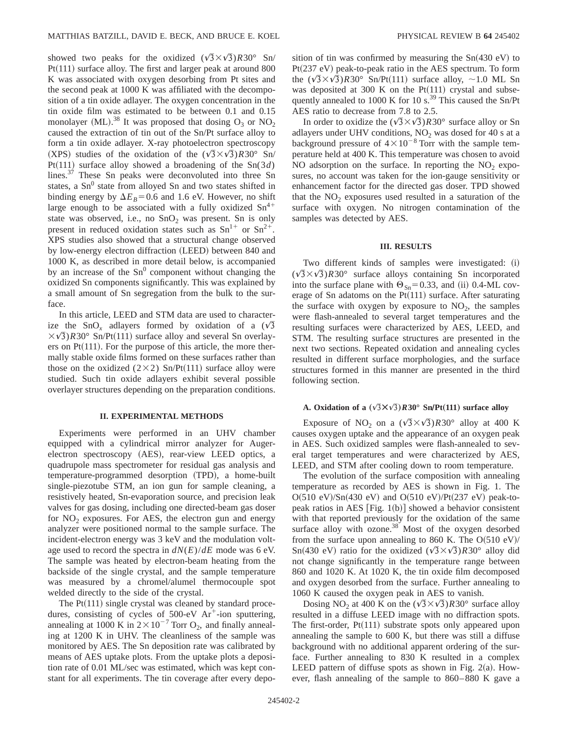showed two peaks for the oxidized  $(\sqrt{3}\times\sqrt{3})R30^{\circ}$  Sn/  $Pt(111)$  surface alloy. The first and larger peak at around 800 K was associated with oxygen desorbing from Pt sites and the second peak at 1000 K was affiliated with the decomposition of a tin oxide adlayer. The oxygen concentration in the tin oxide film was estimated to be between 0.1 and 0.15 monolayer (ML).<sup>38</sup> It was proposed that dosing  $O_3$  or  $NO_2$ caused the extraction of tin out of the Sn/Pt surface alloy to form a tin oxide adlayer. X-ray photoelectron spectroscopy (XPS) studies of the oxidation of the  $(\sqrt{3}\times\sqrt{3})R30^{\circ}$  Sn/  $Pt(111)$  surface alloy showed a broadening of the  $Sn(3d)$ lines. $3^{37}$  These Sn peaks were deconvoluted into three Sn states, a  $Sn^0$  state from alloyed Sn and two states shifted in binding energy by  $\Delta E_B$ =0.6 and 1.6 eV. However, no shift large enough to be associated with a fully oxidized  $Sn^{4+}$ state was observed, i.e., no  $SnO<sub>2</sub>$  was present. Sn is only present in reduced oxidation states such as  $Sn^{1+}$  or  $Sn^{2+}$ . XPS studies also showed that a structural change observed by low-energy electron diffraction (LEED) between 840 and 1000 K, as described in more detail below, is accompanied by an increase of the  $Sn^0$  component without changing the oxidized Sn components significantly. This was explained by a small amount of Sn segregation from the bulk to the surface.

In this article, LEED and STM data are used to characterize the SnO<sub>x</sub> adlayers formed by oxidation of a  $(\sqrt{3})$  $\langle \sqrt{3} \rangle$ *R*30° Sn/Pt(111) surface alloy and several Sn overlayers on  $Pt(111)$ . For the purpose of this article, the more thermally stable oxide films formed on these surfaces rather than those on the oxidized  $(2\times2)$  Sn/Pt $(111)$  surface alloy were studied. Such tin oxide adlayers exhibit several possible overlayer structures depending on the preparation conditions.

### **II. EXPERIMENTAL METHODS**

Experiments were performed in an UHV chamber equipped with a cylindrical mirror analyzer for Augerelectron spectroscopy (AES), rear-view LEED optics, a quadrupole mass spectrometer for residual gas analysis and temperature-programmed desorption (TPD), a home-built single-piezotube STM, an ion gun for sample cleaning, a resistively heated, Sn-evaporation source, and precision leak valves for gas dosing, including one directed-beam gas doser for  $NO<sub>2</sub>$  exposures. For AES, the electron gun and energy analyzer were positioned normal to the sample surface. The incident-electron energy was 3 keV and the modulation voltage used to record the spectra in  $dN(E)/dE$  mode was 6 eV. The sample was heated by electron-beam heating from the backside of the single crystal, and the sample temperature was measured by a chromel/alumel thermocouple spot welded directly to the side of the crystal.

The  $Pt(111)$  single crystal was cleaned by standard procedures, consisting of cycles of  $500-eV$  Ar<sup>+</sup>-ion sputtering, annealing at 1000 K in  $2 \times 10^{-7}$  Torr O<sub>2</sub>, and finally annealing at 1200 K in UHV. The cleanliness of the sample was monitored by AES. The Sn deposition rate was calibrated by means of AES uptake plots. From the uptake plots a deposition rate of 0.01 ML/sec was estimated, which was kept constant for all experiments. The tin coverage after every deposition of tin was confirmed by measuring the  $Sn(430 eV)$  to  $Pt(237 eV)$  peak-to-peak ratio in the AES spectrum. To form the  $(\sqrt{3} \times \sqrt{3})$ *R*30° Sn/Pt(111) surface alloy, ~1.0 ML Sn was deposited at 300 K on the  $Pt(111)$  crystal and subsequently annealed to 1000 K for 10 s.<sup>39</sup> This caused the Sn/Pt AES ratio to decrease from 7.8 to 2.5.

In order to oxidize the  $(\sqrt{3}\times\sqrt{3})R30^\circ$  surface alloy or Sn adlayers under UHV conditions,  $NO<sub>2</sub>$  was dosed for 40 s at a background pressure of  $4\times10^{-8}$  Torr with the sample temperature held at 400 K. This temperature was chosen to avoid NO adsorption on the surface. In reporting the  $NO<sub>2</sub>$  exposures, no account was taken for the ion-gauge sensitivity or enhancement factor for the directed gas doser. TPD showed that the  $NO<sub>2</sub>$  exposures used resulted in a saturation of the surface with oxygen. No nitrogen contamination of the samples was detected by AES.

#### **III. RESULTS**

Two different kinds of samples were investigated: (i)  $(\sqrt{3} \times \sqrt{3})$ *R*30° surface alloys containing Sn incorporated into the surface plane with  $\Theta_{Sn}$ =0.33, and (ii) 0.4-ML coverage of Sn adatoms on the  $Pt(111)$  surface. After saturating the surface with oxygen by exposure to  $NO<sub>2</sub>$ , the samples were flash-annealed to several target temperatures and the resulting surfaces were characterized by AES, LEED, and STM. The resulting surface structures are presented in the next two sections. Repeated oxidation and annealing cycles resulted in different surface morphologies, and the surface structures formed in this manner are presented in the third following section.

# **A. Oxidation of a**  $(\sqrt{3} \times \sqrt{3})R30^\circ$  Sn/Pt(111) surface alloy

Exposure of NO<sub>2</sub> on a  $(\sqrt{3}\times\sqrt{3})R30^\circ$  alloy at 400 K causes oxygen uptake and the appearance of an oxygen peak in AES. Such oxidized samples were flash-annealed to several target temperatures and were characterized by AES, LEED, and STM after cooling down to room temperature.

The evolution of the surface composition with annealing temperature as recorded by AES is shown in Fig. 1. The  $O(510 \text{ eV})/Sn(430 \text{ eV})$  and  $O(510 \text{ eV})/Pt(237 \text{ eV})$  peak-topeak ratios in AES  $[Fig. 1(b)]$  showed a behavior consistent with that reported previously for the oxidation of the same surface alloy with ozone.<sup>38</sup> Most of the oxygen desorbed from the surface upon annealing to 860 K. The  $O(510 \text{ eV})/$ Sn(430 eV) ratio for the oxidized  $(\sqrt{3}\times\sqrt{3})R30^\circ$  alloy did not change significantly in the temperature range between 860 and 1020 K. At 1020 K, the tin oxide film decomposed and oxygen desorbed from the surface. Further annealing to 1060 K caused the oxygen peak in AES to vanish.

Dosing NO<sub>2</sub> at 400 K on the  $(\sqrt{3} \times \sqrt{3})$ *R*30° surface alloy resulted in a diffuse LEED image with no diffraction spots. The first-order,  $Pt(111)$  substrate spots only appeared upon annealing the sample to 600 K, but there was still a diffuse background with no additional apparent ordering of the surface. Further annealing to 830 K resulted in a complex LEED pattern of diffuse spots as shown in Fig.  $2(a)$ . However, flash annealing of the sample to 860–880 K gave a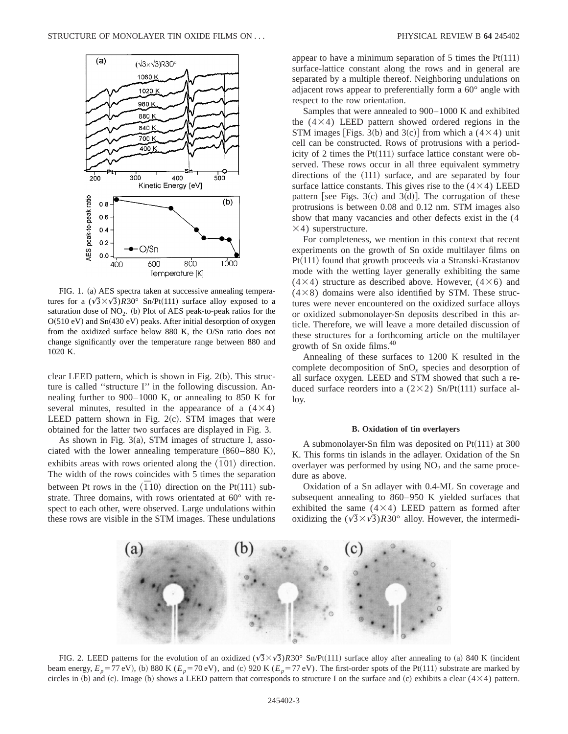

FIG. 1. (a) AES spectra taken at successive annealing temperatures for a  $(\sqrt{3} \times \sqrt{3})R30^\circ$  Sn/Pt(111) surface alloy exposed to a saturation dose of  $NO<sub>2</sub>$ . (b) Plot of AES peak-to-peak ratios for the  $O(510 \text{ eV})$  and  $Sn(430 \text{ eV})$  peaks. After initial desorption of oxygen from the oxidized surface below 880 K, the O/Sn ratio does not change significantly over the temperature range between 880 and 1020 K.

clear LEED pattern, which is shown in Fig.  $2(b)$ . This structure is called ''structure I'' in the following discussion. Annealing further to 900–1000 K, or annealing to 850 K for several minutes, resulted in the appearance of a  $(4\times4)$ LEED pattern shown in Fig.  $2(c)$ . STM images that were obtained for the latter two surfaces are displayed in Fig. 3.

As shown in Fig.  $3(a)$ , STM images of structure I, associated with the lower annealing temperature  $(860-880 \text{ K})$ , exhibits areas with rows oriented along the  $\langle \overline{1}01 \rangle$  direction. The width of the rows coincides with 5 times the separation between Pt rows in the  $\langle \overline{1}10 \rangle$  direction on the Pt(111) substrate. Three domains, with rows orientated at 60° with respect to each other, were observed. Large undulations within these rows are visible in the STM images. These undulations appear to have a minimum separation of 5 times the  $Pt(111)$ surface-lattice constant along the rows and in general are separated by a multiple thereof. Neighboring undulations on adjacent rows appear to preferentially form a 60° angle with respect to the row orientation.

Samples that were annealed to 900–1000 K and exhibited the  $(4\times4)$  LEED pattern showed ordered regions in the STM images [Figs. 3(b) and 3(c)] from which a (4 $\times$ 4) unit cell can be constructed. Rows of protrusions with a periodicity of 2 times the  $Pt(111)$  surface lattice constant were observed. These rows occur in all three equivalent symmetry directions of the  $(111)$  surface, and are separated by four surface lattice constants. This gives rise to the  $(4\times4)$  LEED pattern [see Figs. 3 $(c)$  and 3 $(d)$ ]. The corrugation of these protrusions is between 0.08 and 0.12 nm. STM images also show that many vacancies and other defects exist in the (4  $\times$ 4) superstructure.

For completeness, we mention in this context that recent experiments on the growth of Sn oxide multilayer films on  $Pt(111)$  found that growth proceeds via a Stranski-Krastanov mode with the wetting layer generally exhibiting the same  $(4\times4)$  structure as described above. However,  $(4\times6)$  and  $(4\times8)$  domains were also identified by STM. These structures were never encountered on the oxidized surface alloys or oxidized submonolayer-Sn deposits described in this article. Therefore, we will leave a more detailed discussion of these structures for a forthcoming article on the multilayer growth of Sn oxide films.40

Annealing of these surfaces to 1200 K resulted in the complete decomposition of SnO*<sup>x</sup>* species and desorption of all surface oxygen. LEED and STM showed that such a reduced surface reorders into a  $(2\times2)$  Sn/Pt $(111)$  surface alloy.

# **B. Oxidation of tin overlayers**

A submonolayer-Sn film was deposited on  $Pt(111)$  at 300 K. This forms tin islands in the adlayer. Oxidation of the Sn overlayer was performed by using  $NO<sub>2</sub>$  and the same procedure as above.

Oxidation of a Sn adlayer with 0.4-ML Sn coverage and subsequent annealing to 860–950 K yielded surfaces that exhibited the same  $(4\times4)$  LEED pattern as formed after oxidizing the  $(\sqrt{3}\times\sqrt{3})$ *R*30° alloy. However, the intermedi-



FIG. 2. LEED patterns for the evolution of an oxidized  $(\sqrt{3}\times\sqrt{3})R30^\circ$  Sn/Pt(111) surface alloy after annealing to (a) 840 K (incident beam energy,  $E_p = 77 \text{ eV}$ ), (b) 880 K ( $E_p = 70 \text{ eV}$ ), and (c) 920 K ( $E_p = 77 \text{ eV}$ ). The first-order spots of the Pt(111) substrate are marked by circles in (b) and (c). Image (b) shows a LEED pattern that corresponds to structure I on the surface and (c) exhibits a clear  $(4\times4)$  pattern.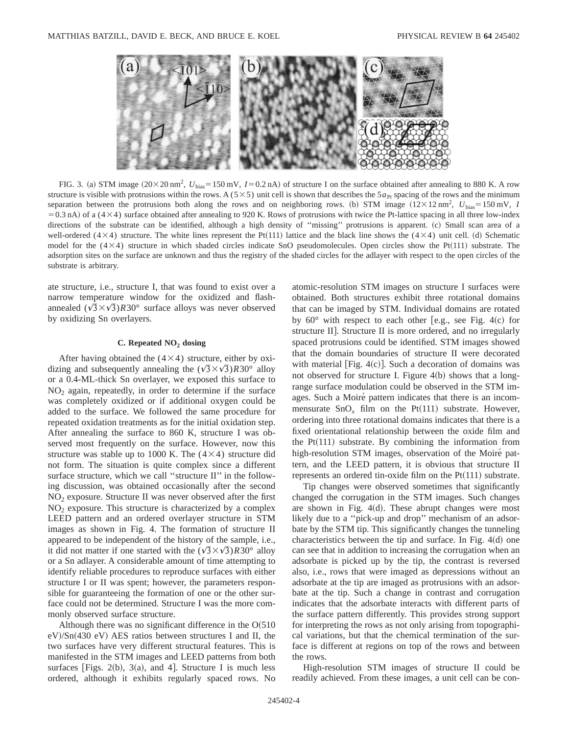

FIG. 3. (a) STM image  $(20 \times 20 \text{ nm}^2, U_{bias} = 150 \text{ mV}, I = 0.2 \text{ nA})$  of structure I on the surface obtained after annealing to 880 K. A row structure is visible with protrusions within the rows. A ( $5\times5$ ) unit cell is shown that describes the  $5a_{\rm Pt}$  spacing of the rows and the minimum separation between the protrusions both along the rows and on neighboring rows. (b) STM image  $(12 \times 12 \text{ nm}^2, U_{\text{bias}} = 150 \text{ mV}, I$  $=0.3$  nA) of a ( $4\times4$ ) surface obtained after annealing to 920 K. Rows of protrusions with twice the Pt-lattice spacing in all three low-index directions of the substrate can be identified, although a high density of "missing" protrusions is apparent. (c) Small scan area of a well-ordered (4×4) structure. The white lines represent the Pt(111) lattice and the black line shows the (4×4) unit cell. (d) Schematic model for the  $(4\times4)$  structure in which shaded circles indicate SnO pseudomolecules. Open circles show the Pt $(111)$  substrate. The adsorption sites on the surface are unknown and thus the registry of the shaded circles for the adlayer with respect to the open circles of the substrate is arbitrary.

ate structure, i.e., structure I, that was found to exist over a narrow temperature window for the oxidized and flashannealed  $(\sqrt{3}\times\sqrt{3})R30^\circ$  surface alloys was never observed by oxidizing Sn overlayers.

# **C. Repeated NO2 dosing**

After having obtained the  $(4\times4)$  structure, either by oxidizing and subsequently annealing the  $(\sqrt{3}\times\sqrt{3})R30^\circ$  alloy or a 0.4-ML-thick Sn overlayer, we exposed this surface to  $NO<sub>2</sub>$  again, repeatedly, in order to determine if the surface was completely oxidized or if additional oxygen could be added to the surface. We followed the same procedure for repeated oxidation treatments as for the initial oxidation step. After annealing the surface to 860 K, structure I was observed most frequently on the surface. However, now this structure was stable up to 1000 K. The  $(4\times4)$  structure did not form. The situation is quite complex since a different surface structure, which we call "structure II" in the following discussion, was obtained occasionally after the second  $NO<sub>2</sub>$  exposure. Structure II was never observed after the first  $NO<sub>2</sub>$  exposure. This structure is characterized by a complex LEED pattern and an ordered overlayer structure in STM images as shown in Fig. 4. The formation of structure II appeared to be independent of the history of the sample, i.e., it did not matter if one started with the  $(\sqrt{3}\times\sqrt{3})R30^\circ$  alloy or a Sn adlayer. A considerable amount of time attempting to identify reliable procedures to reproduce surfaces with either structure I or II was spent; however, the parameters responsible for guaranteeing the formation of one or the other surface could not be determined. Structure I was the more commonly observed surface structure.

Although there was no significant difference in the  $O(510)$  $eV$ //Sn $(430 eV)$  AES ratios between structures I and II, the two surfaces have very different structural features. This is manifested in the STM images and LEED patterns from both surfaces [Figs. 2(b), 3(a), and 4]. Structure I is much less ordered, although it exhibits regularly spaced rows. No atomic-resolution STM images on structure I surfaces were obtained. Both structures exhibit three rotational domains that can be imaged by STM. Individual domains are rotated by  $60^\circ$  with respect to each other [e.g., see Fig. 4(c) for structure II]. Structure II is more ordered, and no irregularly spaced protrusions could be identified. STM images showed that the domain boundaries of structure II were decorated with material [Fig.  $4(c)$ ]. Such a decoration of domains was not observed for structure I. Figure  $4(b)$  shows that a longrange surface modulation could be observed in the STM images. Such a Moiré pattern indicates that there is an incommensurate  $SnO<sub>x</sub>$  film on the Pt(111) substrate. However, ordering into three rotational domains indicates that there is a fixed orientational relationship between the oxide film and the  $Pt(111)$  substrate. By combining the information from high-resolution STM images, observation of the Moiré pattern, and the LEED pattern, it is obvious that structure II represents an ordered tin-oxide film on the  $Pt(111)$  substrate.

Tip changes were observed sometimes that significantly changed the corrugation in the STM images. Such changes are shown in Fig.  $4(d)$ . These abrupt changes were most likely due to a "pick-up and drop" mechanism of an adsorbate by the STM tip. This significantly changes the tunneling characteristics between the tip and surface. In Fig.  $4(d)$  one can see that in addition to increasing the corrugation when an adsorbate is picked up by the tip, the contrast is reversed also, i.e., rows that were imaged as depressions without an adsorbate at the tip are imaged as protrusions with an adsorbate at the tip. Such a change in contrast and corrugation indicates that the adsorbate interacts with different parts of the surface pattern differently. This provides strong support for interpreting the rows as not only arising from topographical variations, but that the chemical termination of the surface is different at regions on top of the rows and between the rows.

High-resolution STM images of structure II could be readily achieved. From these images, a unit cell can be con-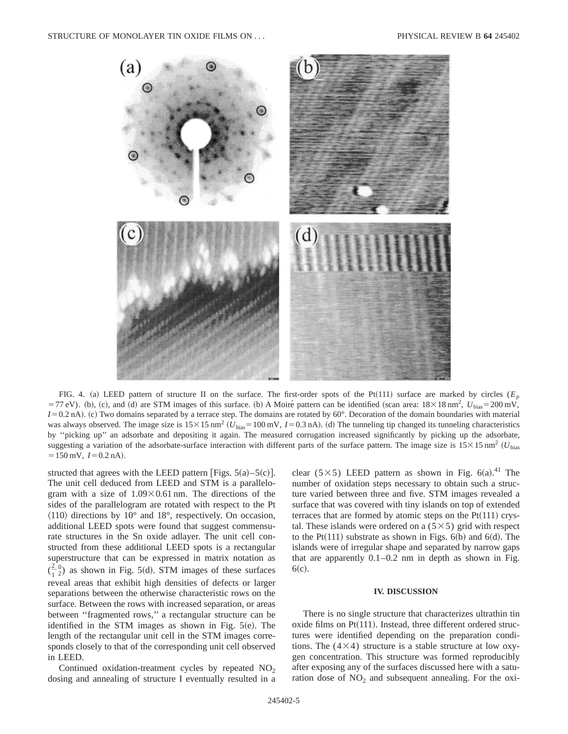

FIG. 4. (a) LEED pattern of structure II on the surface. The first-order spots of the Pt(111) surface are marked by circles ( $E_p$ )  $= 77$  eV). (b), (c), and (d) are STM images of this surface. (b) A Moiré pattern can be identified (scan area:  $18 \times 18$  nm<sup>2</sup>,  $U_{bias} = 200$  mV, *I*=0.2 nA). (c) Two domains separated by a terrace step. The domains are rotated by 60°. Decoration of the domain boundaries with material was always observed. The image size is  $15 \times 15$  nm<sup>2</sup> ( $U_{bias}$ =100 mV, *I*=0.3 nA). (d) The tunneling tip changed its tunneling characteristics by ''picking up'' an adsorbate and depositing it again. The measured corrugation increased significantly by picking up the adsorbate, suggesting a variation of the adsorbate-surface interaction with different parts of the surface pattern. The image size is  $15 \times 15$  nm<sup>2</sup> (U<sub>bias</sub>)  $=150$  mV,  $I=0.2$  nA).

structed that agrees with the LEED pattern [Figs.  $5(a) - 5(c)$ ]. The unit cell deduced from LEED and STM is a parallelogram with a size of  $1.09 \times 0.61$  nm. The directions of the sides of the parallelogram are rotated with respect to the Pt  $\langle 110 \rangle$  directions by 10° and 18°, respectively. On occasion, additional LEED spots were found that suggest commensurate structures in the Sn oxide adlayer. The unit cell constructed from these additional LEED spots is a rectangular superstructure that can be expressed in matrix notation as  $\left(\frac{2}{1}\right)$  $_{2}^{0}$ ) as shown in Fig. 5(d). STM images of these surfaces reveal areas that exhibit high densities of defects or larger separations between the otherwise characteristic rows on the surface. Between the rows with increased separation, or areas between ''fragmented rows,'' a rectangular structure can be identified in the STM images as shown in Fig.  $5(e)$ . The length of the rectangular unit cell in the STM images corresponds closely to that of the corresponding unit cell observed in LEED.

Continued oxidation-treatment cycles by repeated  $NO<sub>2</sub>$ dosing and annealing of structure I eventually resulted in a

clear (5×5) LEED pattern as shown in Fig.  $6(a)$ .<sup>41</sup> The number of oxidation steps necessary to obtain such a structure varied between three and five. STM images revealed a surface that was covered with tiny islands on top of extended terraces that are formed by atomic steps on the  $Pt(111)$  crystal. These islands were ordered on a  $(5 \times 5)$  grid with respect to the Pt $(111)$  substrate as shown in Figs. 6(b) and 6(d). The islands were of irregular shape and separated by narrow gaps that are apparently  $0.1-0.2$  nm in depth as shown in Fig.  $6(c).$ 

#### **IV. DISCUSSION**

There is no single structure that characterizes ultrathin tin oxide films on  $Pt(111)$ . Instead, three different ordered structures were identified depending on the preparation conditions. The  $(4\times4)$  structure is a stable structure at low oxygen concentration. This structure was formed reproducibly after exposing any of the surfaces discussed here with a saturation dose of  $NO<sub>2</sub>$  and subsequent annealing. For the oxi-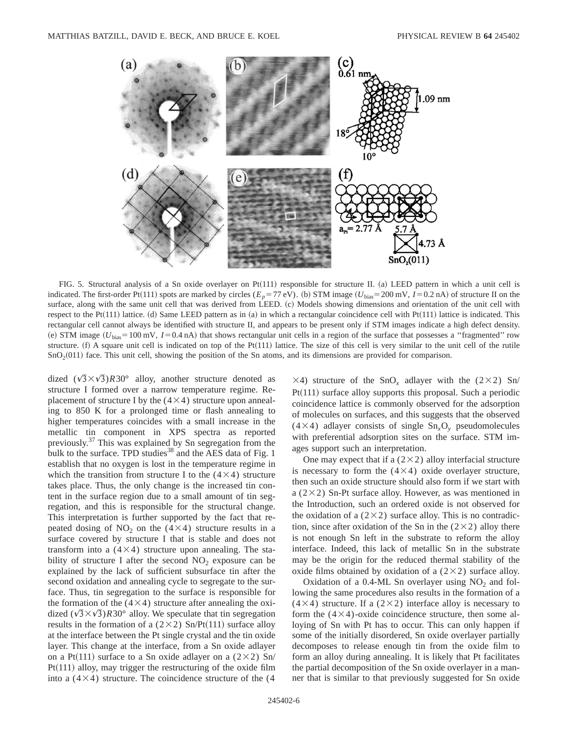

FIG. 5. Structural analysis of a Sn oxide overlayer on Pt $(111)$  responsible for structure II. (a) LEED pattern in which a unit cell is indicated. The first-order Pt(111) spots are marked by circles ( $E_p = 77$  eV). (b) STM image ( $U_{bias} = 200$  mV,  $I = 0.2$  nA) of structure II on the surface, along with the same unit cell that was derived from LEED. (c) Models showing dimensions and orientation of the unit cell with respect to the Pt $(111)$  lattice. (d) Same LEED pattern as in (a) in which a rectangular coincidence cell with Pt $(111)$  lattice is indicated. This rectangular cell cannot always be identified with structure II, and appears to be present only if STM images indicate a high defect density. (e) STM image  $(U_{bias} = 100 \text{ mV}, I = 0.4 \text{ nA})$  that shows rectangular unit cells in a region of the surface that possesses a "fragmented" row structure.  $(f)$  A square unit cell is indicated on top of the Pt $(111)$  lattice. The size of this cell is very similar to the unit cell of the rutile  $SnO<sub>2</sub>(011)$  face. This unit cell, showing the position of the Sn atoms, and its dimensions are provided for comparison.

dized  $(\sqrt{3}\times\sqrt{3})R30^{\circ}$  alloy, another structure denoted as structure I formed over a narrow temperature regime. Replacement of structure I by the  $(4\times4)$  structure upon annealing to 850 K for a prolonged time or flash annealing to higher temperatures coincides with a small increase in the metallic tin component in XPS spectra as reported previously.37 This was explained by Sn segregation from the bulk to the surface. TPD studies<sup>38</sup> and the AES data of Fig. 1 establish that no oxygen is lost in the temperature regime in which the transition from structure I to the  $(4\times4)$  structure takes place. Thus, the only change is the increased tin content in the surface region due to a small amount of tin segregation, and this is responsible for the structural change. This interpretation is further supported by the fact that repeated dosing of  $NO<sub>2</sub>$  on the (4×4) structure results in a surface covered by structure I that is stable and does not transform into a  $(4\times4)$  structure upon annealing. The stability of structure I after the second  $NO<sub>2</sub>$  exposure can be explained by the lack of sufficient subsurface tin after the second oxidation and annealing cycle to segregate to the surface. Thus, tin segregation to the surface is responsible for the formation of the  $(4\times4)$  structure after annealing the oxidized  $(\sqrt{3}\times\sqrt{3})R30^\circ$  alloy. We speculate that tin segregation results in the formation of a ( $2\times2$ ) Sn/Pt(111) surface alloy at the interface between the Pt single crystal and the tin oxide layer. This change at the interface, from a Sn oxide adlayer on a Pt(111) surface to a Sn oxide adlayer on a (2×2) Sn/  $Pt(111)$  alloy, may trigger the restructuring of the oxide film into a  $(4\times4)$  structure. The coincidence structure of the  $(4)$ 

 $\times$ 4) structure of the SnO<sub>x</sub> adlayer with the (2 $\times$ 2) Sn/  $Pt(111)$  surface alloy supports this proposal. Such a periodic coincidence lattice is commonly observed for the adsorption of molecules on surfaces, and this suggests that the observed  $(4\times4)$  adlayer consists of single  $Sn_xO_y$  pseudomolecules with preferential adsorption sites on the surface. STM images support such an interpretation.

One may expect that if a  $(2\times2)$  alloy interfacial structure is necessary to form the  $(4\times4)$  oxide overlayer structure, then such an oxide structure should also form if we start with a ( $2\times2$ ) Sn-Pt surface alloy. However, as was mentioned in the Introduction, such an ordered oxide is not observed for the oxidation of a  $(2\times2)$  surface alloy. This is no contradiction, since after oxidation of the Sn in the  $(2\times2)$  alloy there is not enough Sn left in the substrate to reform the alloy interface. Indeed, this lack of metallic Sn in the substrate may be the origin for the reduced thermal stability of the oxide films obtained by oxidation of a  $(2\times2)$  surface alloy.

Oxidation of a  $0.4$ -ML Sn overlayer using NO<sub>2</sub> and following the same procedures also results in the formation of a  $(4\times4)$  structure. If a  $(2\times2)$  interface alloy is necessary to form the  $(4\times4)$ -oxide coincidence structure, then some alloying of Sn with Pt has to occur. This can only happen if some of the initially disordered, Sn oxide overlayer partially decomposes to release enough tin from the oxide film to form an alloy during annealing. It is likely that Pt facilitates the partial decomposition of the Sn oxide overlayer in a manner that is similar to that previously suggested for Sn oxide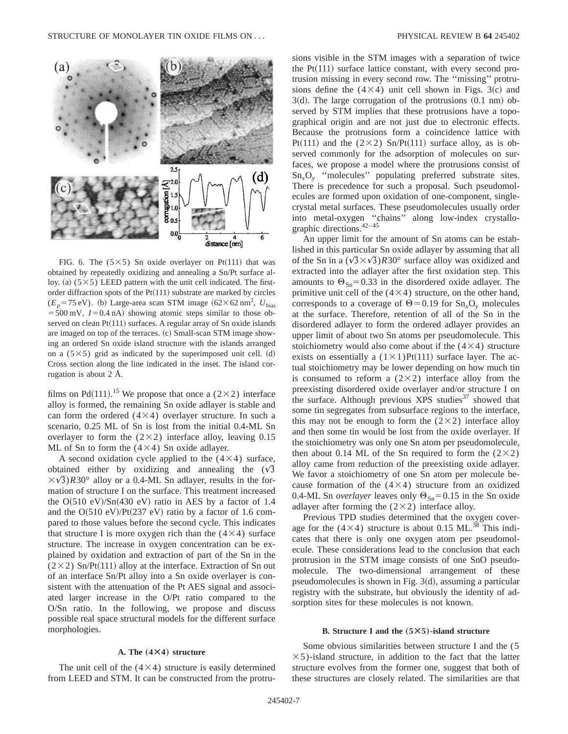

FIG. 6. The  $(5\times5)$  Sn oxide overlayer on Pt $(111)$  that was obtained by repeatedly oxidizing and annealing a Sn/Pt surface alloy. (a)  $(5\times5)$  LEED pattern with the unit cell indicated. The firstorder diffraction spots of the  $Pt(111)$  substrate are marked by circles  $(E_p = 75 \text{ eV})$ . (b) Large-area scan STM image  $(62 \times 62 \text{ nm}^2, U_{bias})$  $=500$  mV,  $I=0.4$  nA) showing atomic steps similar to those observed on clean  $Pt(111)$  surfaces. A regular array of Sn oxide islands are imaged on top of the terraces. (c) Small-scan STM image showing an ordered Sn oxide island structure with the islands arranged on a  $(5\times5)$  grid as indicated by the superimposed unit cell. (d) Cross section along the line indicated in the inset. The island corrugation is about 2 Å.

films on Pd $(111)$ .<sup>15</sup> We propose that once a (2×2) interface alloy is formed, the remaining Sn oxide adlayer is stable and can form the ordered  $(4\times4)$  overlayer structure. In such a scenario, 0.25 ML of Sn is lost from the initial 0.4-ML Sn overlayer to form the  $(2\times2)$  interface alloy, leaving 0.15 ML of Sn to form the  $(4\times4)$  Sn oxide adlayer.

A second oxidation cycle applied to the  $(4\times4)$  surface, obtained either by oxidizing and annealing the  $(\sqrt{3})$  $\times\sqrt{3}$ ) $R30^\circ$  alloy or a 0.4-ML Sn adlayer, results in the formation of structure I on the surface. This treatment increased the  $O(510 \text{ eV})/Sn(430 \text{ eV})$  ratio in AES by a factor of 1.4 and the  $O(510 \text{ eV})/Pt(237 \text{ eV})$  ratio by a factor of 1.6 compared to those values before the second cycle. This indicates that structure I is more oxygen rich than the  $(4\times4)$  surface structure. The increase in oxygen concentration can be explained by oxidation and extraction of part of the Sn in the  $(2\times2)$  Sn/Pt $(111)$  alloy at the interface. Extraction of Sn out of an interface Sn/Pt alloy into a Sn oxide overlayer is consistent with the attenuation of the Pt AES signal and associated larger increase in the O/Pt ratio compared to the O/Sn ratio. In the following, we propose and discuss possible real space structural models for the different surface morphologies.

#### **A. The**  $(4 \times 4)$  structure

The unit cell of the  $(4\times4)$  structure is easily determined from LEED and STM. It can be constructed from the protru-

sions visible in the STM images with a separation of twice the  $Pt(111)$  surface lattice constant, with every second protrusion missing in every second row. The ''missing'' protrusions define the  $(4\times4)$  unit cell shown in Figs. 3(c) and  $3(d)$ . The large corrugation of the protrusions  $(0.1 \text{ nm})$  observed by STM implies that these protrusions have a topographical origin and are not just due to electronic effects. Because the protrusions form a coincidence lattice with Pt(111) and the (2×2) Sn/Pt(111) surface alloy, as is observed commonly for the adsorption of molecules on surfaces, we propose a model where the protrusions consist of Sn*x*O*<sup>y</sup>* ''molecules'' populating preferred substrate sites. There is precedence for such a proposal. Such pseudomolecules are formed upon oxidation of one-component, singlecrystal metal surfaces. These pseudomolecules usually order into metal-oxygen ''chains'' along low-index crystallographic directions.42–45

An upper limit for the amount of Sn atoms can be established in this particular Sn oxide adlayer by assuming that all of the Sn in a  $(\sqrt{3}\times\sqrt{3})R30^\circ$  surface alloy was oxidized and extracted into the adlayer after the first oxidation step. This amounts to  $\Theta_{\text{Sn}}=0.33$  in the disordered oxide adlayer. The primitive unit cell of the  $(4\times4)$  structure, on the other hand, corresponds to a coverage of  $\Theta$  = 0.19 for Sn<sub>x</sub>O<sub>y</sub> molecules at the surface. Therefore, retention of all of the Sn in the disordered adlayer to form the ordered adlayer provides an upper limit of about two Sn atoms per pseudomolecule. This stoichiometry would also come about if the  $(4\times4)$  structure exists on essentially a  $(1 \times 1)$ Pt $(111)$  surface layer. The actual stoichiometry may be lower depending on how much tin is consumed to reform a  $(2\times2)$  interface alloy from the preexisting disordered oxide overlayer and/or structure I on the surface. Although previous XPS studies<sup>37</sup> showed that some tin segregates from subsurface regions to the interface, this may not be enough to form the  $(2\times2)$  interface alloy and then some tin would be lost from the oxide overlayer. If the stoichiometry was only one Sn atom per pseudomolecule, then about 0.14 ML of the Sn required to form the  $(2\times2)$ alloy came from reduction of the preexisting oxide adlayer. We favor a stoichiometry of one Sn atom per molecule because formation of the  $(4\times4)$  structure from an oxidized 0.4-ML Sn *overlayer* leaves only  $\Theta_{\text{Sn}}=0.15$  in the Sn oxide adlayer after forming the  $(2\times2)$  interface alloy.

Previous TPD studies determined that the oxygen coverage for the  $(4\times4)$  structure is about 0.15 ML.<sup>38</sup> This indicates that there is only one oxygen atom per pseudomolecule. These considerations lead to the conclusion that each protrusion in the STM image consists of one SnO pseudomolecule. The two-dimensional arrangement of these pseudomolecules is shown in Fig.  $3(d)$ , assuming a particular registry with the substrate, but obviously the identity of adsorption sites for these molecules is not known.

#### **B.** Structure I and the  $(5 \times 5)$ -island structure

Some obvious similarities between structure I and the (5  $\times$ 5)-island structure, in addition to the fact that the latter structure evolves from the former one, suggest that both of these structures are closely related. The similarities are that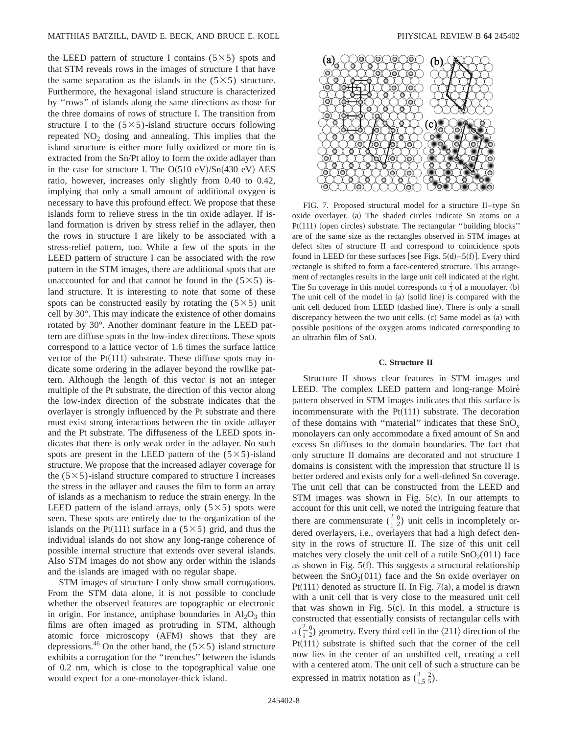the LEED pattern of structure I contains  $(5 \times 5)$  spots and that STM reveals rows in the images of structure I that have the same separation as the islands in the  $(5\times5)$  structure. Furthermore, the hexagonal island structure is characterized by ''rows'' of islands along the same directions as those for the three domains of rows of structure I. The transition from structure I to the  $(5\times5)$ -island structure occurs following repeated  $NO<sub>2</sub>$  dosing and annealing. This implies that the island structure is either more fully oxidized or more tin is extracted from the Sn/Pt alloy to form the oxide adlayer than in the case for structure I. The  $O(510 \text{ eV})/Sn(430 \text{ eV})$  AES ratio, however, increases only slightly from 0.40 to 0.42, implying that only a small amount of additional oxygen is necessary to have this profound effect. We propose that these islands form to relieve stress in the tin oxide adlayer. If island formation is driven by stress relief in the adlayer, then the rows in structure I are likely to be associated with a stress-relief pattern, too. While a few of the spots in the LEED pattern of structure I can be associated with the row pattern in the STM images, there are additional spots that are unaccounted for and that cannot be found in the  $(5\times5)$  island structure. It is interesting to note that some of these spots can be constructed easily by rotating the  $(5\times5)$  unit cell by 30°. This may indicate the existence of other domains rotated by 30°. Another dominant feature in the LEED pattern are diffuse spots in the low-index directions. These spots correspond to a lattice vector of 1.6 times the surface lattice vector of the  $Pt(111)$  substrate. These diffuse spots may indicate some ordering in the adlayer beyond the rowlike pattern. Although the length of this vector is not an integer multiple of the Pt substrate, the direction of this vector along the low-index direction of the substrate indicates that the overlayer is strongly influenced by the Pt substrate and there must exist strong interactions between the tin oxide adlayer and the Pt substrate. The diffuseness of the LEED spots indicates that there is only weak order in the adlayer. No such spots are present in the LEED pattern of the  $(5\times5)$ -island structure. We propose that the increased adlayer coverage for the  $(5\times5)$ -island structure compared to structure I increases the stress in the adlayer and causes the film to form an array of islands as a mechanism to reduce the strain energy. In the LEED pattern of the island arrays, only  $(5 \times 5)$  spots were seen. These spots are entirely due to the organization of the islands on the Pt(111) surface in a ( $5\times5$ ) grid, and thus the individual islands do not show any long-range coherence of possible internal structure that extends over several islands. Also STM images do not show any order within the islands and the islands are imaged with no regular shape.

STM images of structure I only show small corrugations. From the STM data alone, it is not possible to conclude whether the observed features are topographic or electronic in origin. For instance, antiphase boundaries in  $Al_2O_3$  thin films are often imaged as protruding in STM, although atomic force microscopy (AFM) shows that they are depressions.<sup>46</sup> On the other hand, the  $(5\times5)$  island structure exhibits a corrugation for the ''trenches'' between the islands of 0.2 nm, which is close to the topographical value one would expect for a one-monolayer-thick island.



FIG. 7. Proposed structural model for a structure II–type Sn oxide overlayer. (a) The shaded circles indicate Sn atoms on a  $Pt(111)$  (open circles) substrate. The rectangular "building blocks" are of the same size as the rectangles observed in STM images at defect sites of structure II and correspond to coincidence spots found in LEED for these surfaces [see Figs.  $5(d) - 5(f)$ ]. Every third rectangle is shifted to form a face-centered structure. This arrangement of rectangles results in the large unit cell indicated at the right. The Sn coverage in this model corresponds to  $\frac{1}{3}$  of a monolayer. (b) The unit cell of the model in  $(a)$  (solid line) is compared with the unit cell deduced from LEED (dashed line). There is only a small discrepancy between the two unit cells.  $(c)$  Same model as  $(a)$  with possible positions of the oxygen atoms indicated corresponding to an ultrathin film of SnO.

# **C. Structure II**

Structure II shows clear features in STM images and LEED. The complex LEED pattern and long-range Moiré pattern observed in STM images indicates that this surface is incommensurate with the  $Pt(111)$  substrate. The decoration of these domains with ''material'' indicates that these SnO*<sup>x</sup>* monolayers can only accommodate a fixed amount of Sn and excess Sn diffuses to the domain boundaries. The fact that only structure II domains are decorated and not structure I domains is consistent with the impression that structure II is better ordered and exists only for a well-defined Sn coverage. The unit cell that can be constructed from the LEED and STM images was shown in Fig.  $5(c)$ . In our attempts to account for this unit cell, we noted the intriguing feature that there are commensurate  $\left(\frac{2}{1}\right)$  $_{2}^{0}$ ) unit cells in incompletely ordered overlayers, i.e., overlayers that had a high defect density in the rows of structure II. The size of this unit cell matches very closely the unit cell of a rutile  $SnO<sub>2</sub>(011)$  face as shown in Fig.  $5(f)$ . This suggests a structural relationship between the  $SnO<sub>2</sub>(011)$  face and the Sn oxide overlayer on Pt $(111)$  denoted as structure II. In Fig. 7 $(a)$ , a model is drawn with a unit cell that is very close to the measured unit cell that was shown in Fig.  $5(c)$ . In this model, a structure is constructed that essentially consists of rectangular cells with  $a\left(\frac{2}{1}\right)$  $_{2}^{0}$ ) geometry. Every third cell in the  $\langle 211 \rangle$  direction of the  $Pt(111)$  substrate is shifted such that the corner of the cell now lies in the center of an unshifted cell, creating a cell with a centered atom. The unit cell of such a structure can be expressed in matrix notation as  $(\frac{3}{1.5} \frac{2}{5})$ .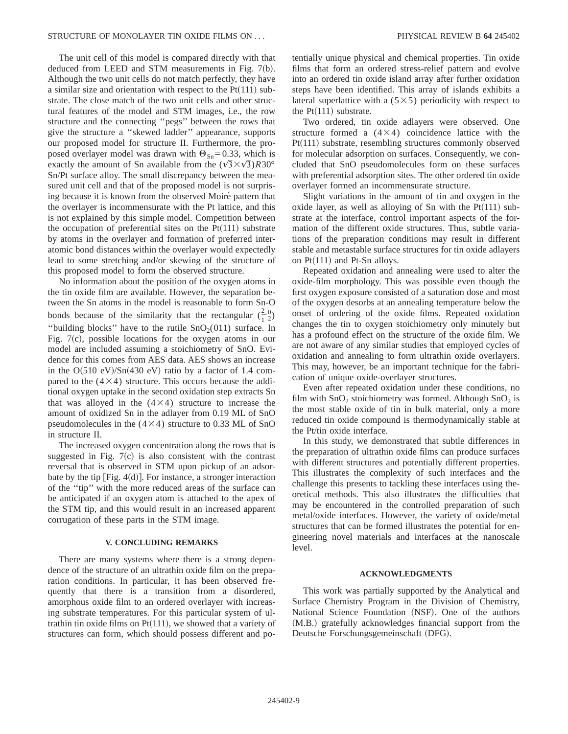The unit cell of this model is compared directly with that deduced from LEED and STM measurements in Fig.  $7(b)$ . Although the two unit cells do not match perfectly, they have a similar size and orientation with respect to the  $Pt(111)$  substrate. The close match of the two unit cells and other structural features of the model and STM images, i.e., the row structure and the connecting ''pegs'' between the rows that give the structure a ''skewed ladder'' appearance, supports our proposed model for structure II. Furthermore, the proposed overlayer model was drawn with  $\Theta_{\text{Sn}}=0.33$ , which is exactly the amount of Sn available from the  $(\sqrt{3}\times\sqrt{3})R30^\circ$ Sn/Pt surface alloy. The small discrepancy between the measured unit cell and that of the proposed model is not surprising because it is known from the observed Moiré pattern that the overlayer is incommensurate with the Pt lattice, and this is not explained by this simple model. Competition between the occupation of preferential sites on the  $Pt(111)$  substrate by atoms in the overlayer and formation of preferred interatomic bond distances within the overlayer would expectedly lead to some stretching and/or skewing of the structure of this proposed model to form the observed structure.

No information about the position of the oxygen atoms in the tin oxide film are available. However, the separation between the Sn atoms in the model is reasonable to form Sn-O bonds because of the similarity that the rectangular  $(\frac{2}{1})$  $_{2}^{0}$ "building blocks" have to the rutile  $SnO<sub>2</sub>(011)$  surface. In Fig.  $7(c)$ , possible locations for the oxygen atoms in our model are included assuming a stoichiometry of SnO. Evidence for this comes from AES data. AES shows an increase in the  $O(510 \text{ eV})/Sn(430 \text{ eV})$  ratio by a factor of 1.4 compared to the  $(4\times4)$  structure. This occurs because the additional oxygen uptake in the second oxidation step extracts Sn that was alloyed in the  $(4\times4)$  structure to increase the amount of oxidized Sn in the adlayer from 0.19 ML of SnO pseudomolecules in the  $(4\times4)$  structure to 0.33 ML of SnO in structure II.

The increased oxygen concentration along the rows that is suggested in Fig.  $7(c)$  is also consistent with the contrast reversal that is observed in STM upon pickup of an adsorbate by the tip  $[Fig. 4(d)]$ . For instance, a stronger interaction of the ''tip'' with the more reduced areas of the surface can be anticipated if an oxygen atom is attached to the apex of the STM tip, and this would result in an increased apparent corrugation of these parts in the STM image.

#### **V. CONCLUDING REMARKS**

There are many systems where there is a strong dependence of the structure of an ultrathin oxide film on the preparation conditions. In particular, it has been observed frequently that there is a transition from a disordered, amorphous oxide film to an ordered overlayer with increasing substrate temperatures. For this particular system of ultrathin tin oxide films on  $Pt(111)$ , we showed that a variety of structures can form, which should possess different and potentially unique physical and chemical properties. Tin oxide films that form an ordered stress-relief pattern and evolve into an ordered tin oxide island array after further oxidation steps have been identified. This array of islands exhibits a lateral superlattice with a  $(5 \times 5)$  periodicity with respect to the  $Pt(111)$  substrate.

Two ordered, tin oxide adlayers were observed. One structure formed a  $(4\times4)$  coincidence lattice with the  $Pt(111)$  substrate, resembling structures commonly observed for molecular adsorption on surfaces. Consequently, we concluded that SnO pseudomolecules form on these surfaces with preferential adsorption sites. The other ordered tin oxide overlayer formed an incommensurate structure.

Slight variations in the amount of tin and oxygen in the oxide layer, as well as alloying of Sn with the  $Pt(111)$  substrate at the interface, control important aspects of the formation of the different oxide structures. Thus, subtle variations of the preparation conditions may result in different stable and metastable surface structures for tin oxide adlayers on  $Pt(111)$  and  $Pt-Sn$  alloys.

Repeated oxidation and annealing were used to alter the oxide-film morphology. This was possible even though the first oxygen exposure consisted of a saturation dose and most of the oxygen desorbs at an annealing temperature below the onset of ordering of the oxide films. Repeated oxidation changes the tin to oxygen stoichiometry only minutely but has a profound effect on the structure of the oxide film. We are not aware of any similar studies that employed cycles of oxidation and annealing to form ultrathin oxide overlayers. This may, however, be an important technique for the fabrication of unique oxide-overlayer structures.

Even after repeated oxidation under these conditions, no film with  $SnO<sub>2</sub>$  stoichiometry was formed. Although  $SnO<sub>2</sub>$  is the most stable oxide of tin in bulk material, only a more reduced tin oxide compound is thermodynamically stable at the Pt/tin oxide interface.

In this study, we demonstrated that subtle differences in the preparation of ultrathin oxide films can produce surfaces with different structures and potentially different properties. This illustrates the complexity of such interfaces and the challenge this presents to tackling these interfaces using theoretical methods. This also illustrates the difficulties that may be encountered in the controlled preparation of such metal/oxide interfaces. However, the variety of oxide/metal structures that can be formed illustrates the potential for engineering novel materials and interfaces at the nanoscale level.

#### **ACKNOWLEDGMENTS**

This work was partially supported by the Analytical and Surface Chemistry Program in the Division of Chemistry, National Science Foundation (NSF). One of the authors (M.B.) gratefully acknowledges financial support from the Deutsche Forschungsgemeinschaft (DFG).